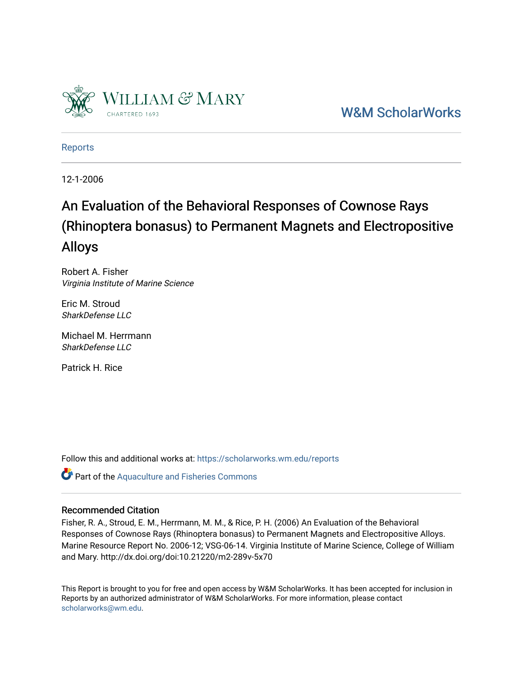

[W&M ScholarWorks](https://scholarworks.wm.edu/) 

[Reports](https://scholarworks.wm.edu/reports)

12-1-2006

# An Evaluation of the Behavioral Responses of Cownose Rays (Rhinoptera bonasus) to Permanent Magnets and Electropositive Alloys

Robert A. Fisher Virginia Institute of Marine Science

Eric M. Stroud SharkDefense LLC

Michael M. Herrmann SharkDefense LLC

Patrick H. Rice

Follow this and additional works at: [https://scholarworks.wm.edu/reports](https://scholarworks.wm.edu/reports?utm_source=scholarworks.wm.edu%2Freports%2F1404&utm_medium=PDF&utm_campaign=PDFCoverPages)

Part of the [Aquaculture and Fisheries Commons](http://network.bepress.com/hgg/discipline/78?utm_source=scholarworks.wm.edu%2Freports%2F1404&utm_medium=PDF&utm_campaign=PDFCoverPages)

#### Recommended Citation

Fisher, R. A., Stroud, E. M., Herrmann, M. M., & Rice, P. H. (2006) An Evaluation of the Behavioral Responses of Cownose Rays (Rhinoptera bonasus) to Permanent Magnets and Electropositive Alloys. Marine Resource Report No. 2006-12; VSG-06-14. Virginia Institute of Marine Science, College of William and Mary. http://dx.doi.org/doi:10.21220/m2-289v-5x70

This Report is brought to you for free and open access by W&M ScholarWorks. It has been accepted for inclusion in Reports by an authorized administrator of W&M ScholarWorks. For more information, please contact [scholarworks@wm.edu.](mailto:scholarworks@wm.edu)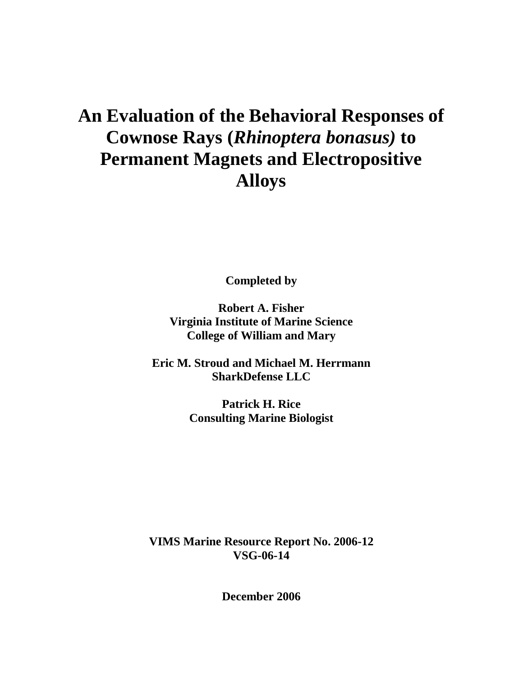# **An Evaluation of the Behavioral Responses of Cownose Rays (***Rhinoptera bonasus)* **to Permanent Magnets and Electropositive Alloys**

**Completed by**

**Robert A. Fisher Virginia Institute of Marine Science College of William and Mary**

**Eric M. Stroud and Michael M. Herrmann SharkDefense LLC**

> **Patrick H. Rice Consulting Marine Biologist**

**VIMS Marine Resource Report No. 2006-12 VSG-06-14**

**December 2006**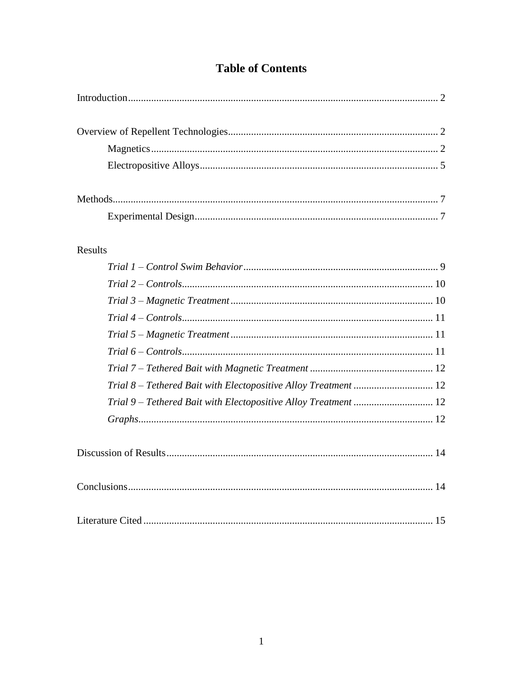# **Table of Contents**

| <b>Results</b>                                                  |  |
|-----------------------------------------------------------------|--|
|                                                                 |  |
|                                                                 |  |
|                                                                 |  |
|                                                                 |  |
|                                                                 |  |
|                                                                 |  |
|                                                                 |  |
| Trial 8 - Tethered Bait with Electopositive Alloy Treatment  12 |  |
| Trial 9 - Tethered Bait with Electopositive Alloy Treatment  12 |  |
|                                                                 |  |
|                                                                 |  |
|                                                                 |  |
|                                                                 |  |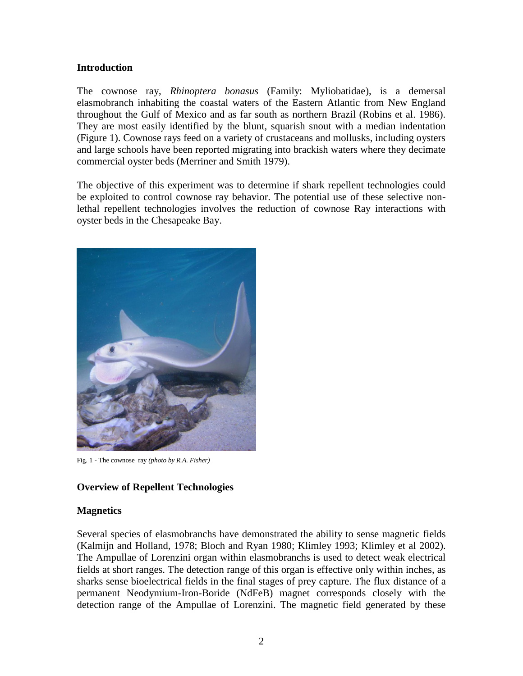## <span id="page-3-0"></span>**Introduction**

The cownose ray, *Rhinoptera bonasus* (Family: Myliobatidae), is a demersal elasmobranch inhabiting the coastal waters of the Eastern Atlantic from New England throughout the Gulf of Mexico and as far south as northern Brazil (Robins et al. 1986). They are most easily identified by the blunt, squarish snout with a median indentation (Figure 1). Cownose rays feed on a variety of crustaceans and mollusks, including oysters and large schools have been reported migrating into brackish waters where they decimate commercial oyster beds (Merriner and Smith 1979).

The objective of this experiment was to determine if shark repellent technologies could be exploited to control cownose ray behavior. The potential use of these selective nonlethal repellent technologies involves the reduction of cownose Ray interactions with oyster beds in the Chesapeake Bay.



Fig. 1 - The cownose ray *(photo by R.A. Fisher)*

# <span id="page-3-1"></span>**Overview of Repellent Technologies**

# <span id="page-3-2"></span>**Magnetics**

Several species of elasmobranchs have demonstrated the ability to sense magnetic fields (Kalmijn and Holland, 1978; Bloch and Ryan 1980; Klimley 1993; Klimley et al 2002). The Ampullae of Lorenzini organ within elasmobranchs is used to detect weak electrical fields at short ranges. The detection range of this organ is effective only within inches, as sharks sense bioelectrical fields in the final stages of prey capture. The flux distance of a permanent Neodymium-Iron-Boride (NdFeB) magnet corresponds closely with the detection range of the Ampullae of Lorenzini. The magnetic field generated by these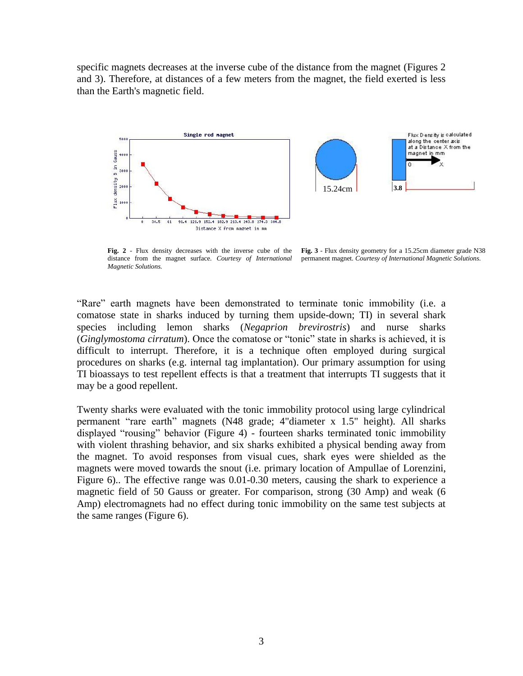specific magnets decreases at the inverse cube of the distance from the magnet (Figures 2 and 3). Therefore, at distances of a few meters from the magnet, the field exerted is less than the Earth's magnetic field.



**Fig. 2** - Flux density decreases with the inverse cube of the distance from the magnet surface. *Courtesy of International Magnetic Solutions.* **Fig. 3** - Flux density geometry for a 15.25cm diameter grade N38 permanent magnet. *Courtesy of International Magnetic Solutions.*

"Rare" earth magnets have been demonstrated to terminate tonic immobility (i.e. a comatose state in sharks induced by turning them upside-down; TI) in several shark species including lemon sharks (*Negaprion brevirostris*) and nurse sharks (*Ginglymostoma cirratum*). Once the comatose or "tonic" state in sharks is achieved, it is difficult to interrupt. Therefore, it is a technique often employed during surgical procedures on sharks (e.g. internal tag implantation). Our primary assumption for using TI bioassays to test repellent effects is that a treatment that interrupts TI suggests that it may be a good repellent.

Twenty sharks were evaluated with the tonic immobility protocol using large cylindrical permanent "rare earth" magnets (N48 grade; 4"diameter x 1.5" height). All sharks displayed "rousing" behavior (Figure 4) - fourteen sharks terminated tonic immobility with violent thrashing behavior, and six sharks exhibited a physical bending away from the magnet. To avoid responses from visual cues, shark eyes were shielded as the magnets were moved towards the snout (i.e. primary location of Ampullae of Lorenzini, Figure 6).. The effective range was 0.01-0.30 meters, causing the shark to experience a magnetic field of 50 Gauss or greater. For comparison, strong (30 Amp) and weak (6 Amp) electromagnets had no effect during tonic immobility on the same test subjects at the same ranges (Figure 6).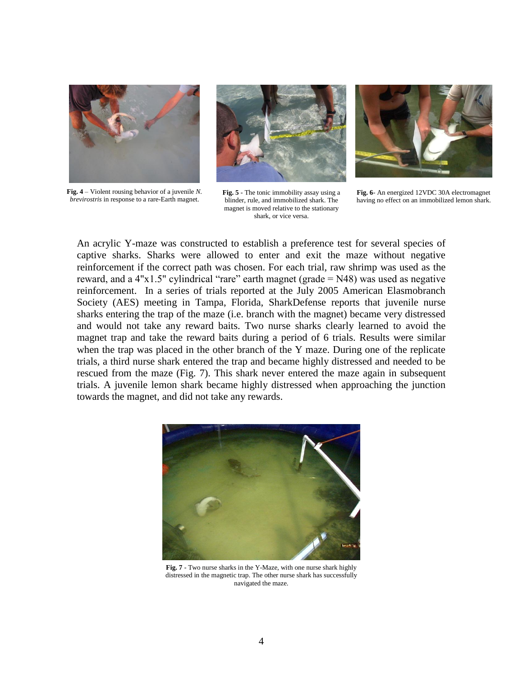

**Fig. 4** – Violent rousing behavior of a juvenile *N. brevirostris* in response to a rare-Earth magnet.



**Fig. 5** - The tonic immobility assay using a blinder, rule, and immobilized shark. The magnet is moved relative to the stationary shark, or vice versa.



**Fig. 6**- An energized 12VDC 30A electromagnet having no effect on an immobilized lemon shark.

An acrylic Y-maze was constructed to establish a preference test for several species of captive sharks. Sharks were allowed to enter and exit the maze without negative reinforcement if the correct path was chosen. For each trial, raw shrimp was used as the reward, and a  $4"x1.5"$  cylindrical "rare" earth magnet (grade = N48) was used as negative reinforcement. In a series of trials reported at the July 2005 American Elasmobranch Society (AES) meeting in Tampa, Florida, SharkDefense reports that juvenile nurse sharks entering the trap of the maze (i.e. branch with the magnet) became very distressed and would not take any reward baits. Two nurse sharks clearly learned to avoid the magnet trap and take the reward baits during a period of 6 trials. Results were similar when the trap was placed in the other branch of the Y maze. During one of the replicate trials, a third nurse shark entered the trap and became highly distressed and needed to be rescued from the maze (Fig. 7). This shark never entered the maze again in subsequent trials. A juvenile lemon shark became highly distressed when approaching the junction towards the magnet, and did not take any rewards.



**Fig. 7** - Two nurse sharks in the Y-Maze, with one nurse shark highly distressed in the magnetic trap. The other nurse shark has successfully navigated the maze.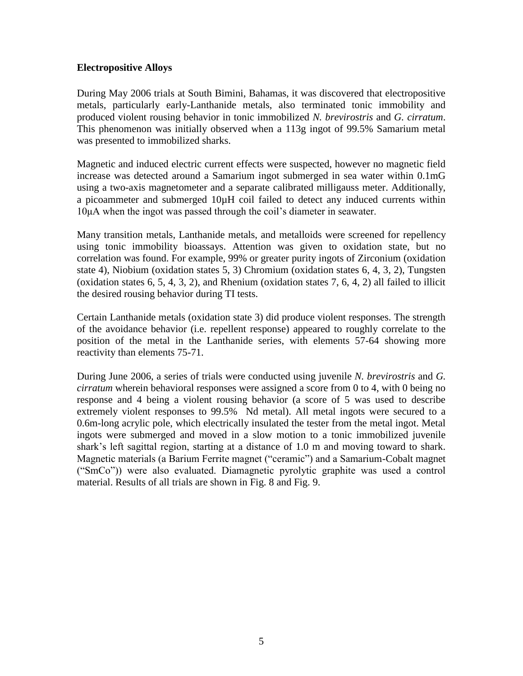### <span id="page-6-0"></span>**Electropositive Alloys**

During May 2006 trials at South Bimini, Bahamas, it was discovered that electropositive metals, particularly early-Lanthanide metals, also terminated tonic immobility and produced violent rousing behavior in tonic immobilized *N. brevirostris* and *G. cirratum*. This phenomenon was initially observed when a 113g ingot of 99.5% Samarium metal was presented to immobilized sharks.

Magnetic and induced electric current effects were suspected, however no magnetic field increase was detected around a Samarium ingot submerged in sea water within 0.1mG using a two-axis magnetometer and a separate calibrated milligauss meter. Additionally, a picoammeter and submerged 10µH coil failed to detect any induced currents within 10μA when the ingot was passed through the coil's diameter in seawater.

Many transition metals, Lanthanide metals, and metalloids were screened for repellency using tonic immobility bioassays. Attention was given to oxidation state, but no correlation was found. For example, 99% or greater purity ingots of Zirconium (oxidation state 4), Niobium (oxidation states 5, 3) Chromium (oxidation states 6, 4, 3, 2), Tungsten (oxidation states 6, 5, 4, 3, 2), and Rhenium (oxidation states 7, 6, 4, 2) all failed to illicit the desired rousing behavior during TI tests.

Certain Lanthanide metals (oxidation state 3) did produce violent responses. The strength of the avoidance behavior (i.e. repellent response) appeared to roughly correlate to the position of the metal in the Lanthanide series, with elements 57-64 showing more reactivity than elements 75-71.

During June 2006, a series of trials were conducted using juvenile *N. brevirostris* and *G. cirratum* wherein behavioral responses were assigned a score from 0 to 4, with 0 being no response and 4 being a violent rousing behavior (a score of 5 was used to describe extremely violent responses to 99.5% Nd metal). All metal ingots were secured to a 0.6m-long acrylic pole, which electrically insulated the tester from the metal ingot. Metal ingots were submerged and moved in a slow motion to a tonic immobilized juvenile shark's left sagittal region, starting at a distance of 1.0 m and moving toward to shark. Magnetic materials (a Barium Ferrite magnet ("ceramic") and a Samarium-Cobalt magnet ("SmCo")) were also evaluated. Diamagnetic pyrolytic graphite was used a control material. Results of all trials are shown in Fig. 8 and Fig. 9.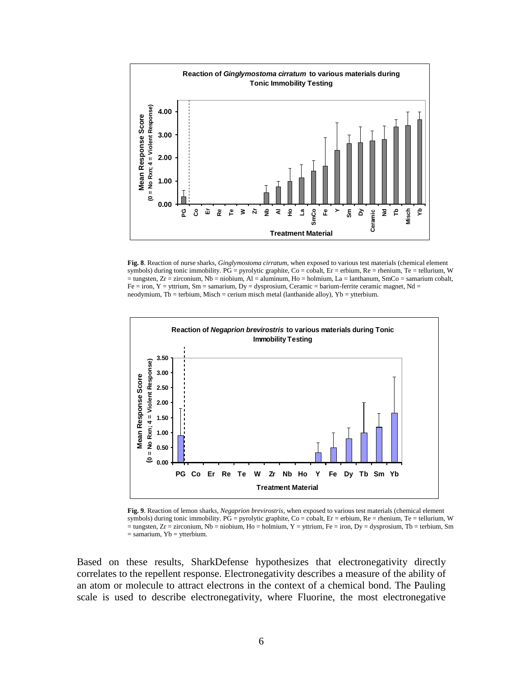

**Fig. 8**. Reaction of nurse sharks, *Ginglymostoma cirratum*, when exposed to various test materials (chemical element symbols) during tonic immobility.  $PG = pyrolytic$  graphite,  $Co = cobalt$ ,  $Er = erbium$ ,  $Re = rhenium$ ,  $Te = tellurium$ , W  $=$  tungsten,  $Zr =$  zirconium, Nb = niobium, Al = aluminum, Ho = holmium, La = lanthanum, SmCo = samarium cobalt,  $Fe = iron, Y = yttrium, Sm = samarium, Dy = dysproxium, Ceramic = barium-ferrite ceramic magnet, Nd =$ neodymium, Tb = terbium, Misch = cerium misch metal (lanthanide alloy), Yb = ytterbium.



**Fig. 9**. Reaction of lemon sharks, *Negaprion brevirostris*, when exposed to various test materials (chemical element symbols) during tonic immobility.  $PG = pyrolytic$  graphite,  $Co = cobalt$ ,  $Er = erbium$ ,  $Re = rhenium$ ,  $Te = tellurium$ , W  $=$  tungsten, Zr = zirconium, Nb = niobium, Ho = holmium, Y = yttrium, Fe = iron, Dy = dysprosium, Tb = terbium, Sm  $=$  samarium, Yb = ytterbium.

Based on these results, SharkDefense hypothesizes that electronegativity directly correlates to the repellent response. Electronegativity describes a measure of the ability of an atom or molecule to attract electrons in the context of a chemical bond. The Pauling scale is used to describe electronegativity, where Fluorine, the most electronegative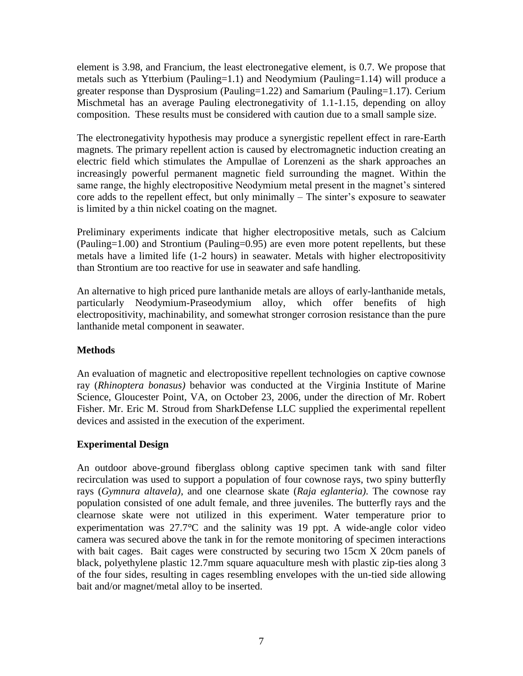element is 3.98, and Francium, the least electronegative element, is 0.7. We propose that metals such as Ytterbium (Pauling=1.1) and Neodymium (Pauling=1.14) will produce a greater response than Dysprosium (Pauling=1.22) and Samarium (Pauling=1.17). Cerium Mischmetal has an average Pauling electronegativity of 1.1-1.15, depending on alloy composition. These results must be considered with caution due to a small sample size.

The electronegativity hypothesis may produce a synergistic repellent effect in rare-Earth magnets. The primary repellent action is caused by electromagnetic induction creating an electric field which stimulates the Ampullae of Lorenzeni as the shark approaches an increasingly powerful permanent magnetic field surrounding the magnet. Within the same range, the highly electropositive Neodymium metal present in the magnet's sintered core adds to the repellent effect, but only minimally – The sinter's exposure to seawater is limited by a thin nickel coating on the magnet.

Preliminary experiments indicate that higher electropositive metals, such as Calcium (Pauling=1.00) and Strontium (Pauling=0.95) are even more potent repellents, but these metals have a limited life (1-2 hours) in seawater. Metals with higher electropositivity than Strontium are too reactive for use in seawater and safe handling.

An alternative to high priced pure lanthanide metals are alloys of early-lanthanide metals, particularly Neodymium-Praseodymium alloy, which offer benefits of high electropositivity, machinability, and somewhat stronger corrosion resistance than the pure lanthanide metal component in seawater.

# <span id="page-8-0"></span>**Methods**

An evaluation of magnetic and electropositive repellent technologies on captive cownose ray (*Rhinoptera bonasus)* behavior was conducted at the Virginia Institute of Marine Science, Gloucester Point, VA, on October 23, 2006, under the direction of Mr. Robert Fisher. Mr. Eric M. Stroud from SharkDefense LLC supplied the experimental repellent devices and assisted in the execution of the experiment.

# <span id="page-8-1"></span>**Experimental Design**

An outdoor above-ground fiberglass oblong captive specimen tank with sand filter recirculation was used to support a population of four cownose rays, two spiny butterfly rays (*Gymnura altavela)*, and one clearnose skate (*Raja eglanteria)*. The cownose ray population consisted of one adult female, and three juveniles. The butterfly rays and the clearnose skate were not utilized in this experiment. Water temperature prior to experimentation was  $27.7^{\circ}$ C and the salinity was 19 ppt. A wide-angle color video camera was secured above the tank in for the remote monitoring of specimen interactions with bait cages. Bait cages were constructed by securing two 15cm X 20cm panels of black, polyethylene plastic 12.7mm square aquaculture mesh with plastic zip-ties along 3 of the four sides, resulting in cages resembling envelopes with the un-tied side allowing bait and/or magnet/metal alloy to be inserted.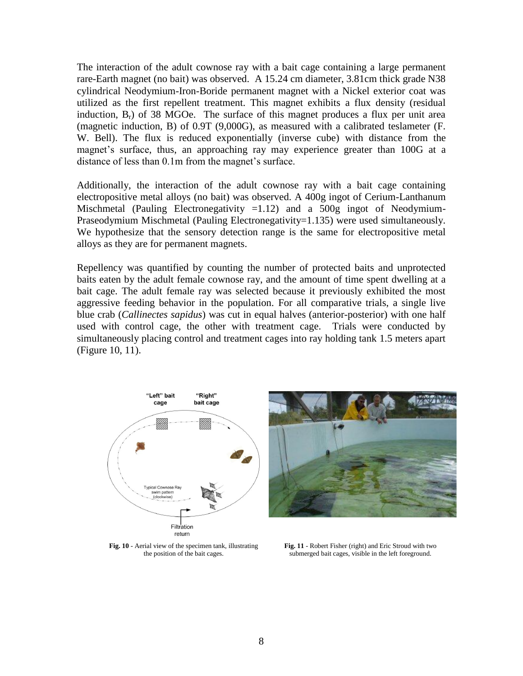The interaction of the adult cownose ray with a bait cage containing a large permanent rare-Earth magnet (no bait) was observed. A 15.24 cm diameter, 3.81cm thick grade N38 cylindrical Neodymium-Iron-Boride permanent magnet with a Nickel exterior coat was utilized as the first repellent treatment. This magnet exhibits a flux density (residual induction,  $B_r$ ) of 38 MGOe. The surface of this magnet produces a flux per unit area (magnetic induction, B) of 0.9T (9,000G), as measured with a calibrated teslameter (F. W. Bell). The flux is reduced exponentially (inverse cube) with distance from the magnet's surface, thus, an approaching ray may experience greater than 100G at a distance of less than 0.1m from the magnet's surface.

Additionally, the interaction of the adult cownose ray with a bait cage containing electropositive metal alloys (no bait) was observed. A 400g ingot of Cerium-Lanthanum Mischmetal (Pauling Electronegativity  $=1.12$ ) and a 500g ingot of Neodymium-Praseodymium Mischmetal (Pauling Electronegativity=1.135) were used simultaneously. We hypothesize that the sensory detection range is the same for electropositive metal alloys as they are for permanent magnets.

Repellency was quantified by counting the number of protected baits and unprotected baits eaten by the adult female cownose ray, and the amount of time spent dwelling at a bait cage. The adult female ray was selected because it previously exhibited the most aggressive feeding behavior in the population. For all comparative trials, a single live blue crab (*Callinectes sapidus*) was cut in equal halves (anterior-posterior) with one half used with control cage, the other with treatment cage. Trials were conducted by simultaneously placing control and treatment cages into ray holding tank 1.5 meters apart (Figure 10, 11).





**Fig. 10** - Aerial view of the specimen tank, illustrating the position of the bait cages.

**Fig. 11** - Robert Fisher (right) and Eric Stroud with two submerged bait cages, visible in the left foreground.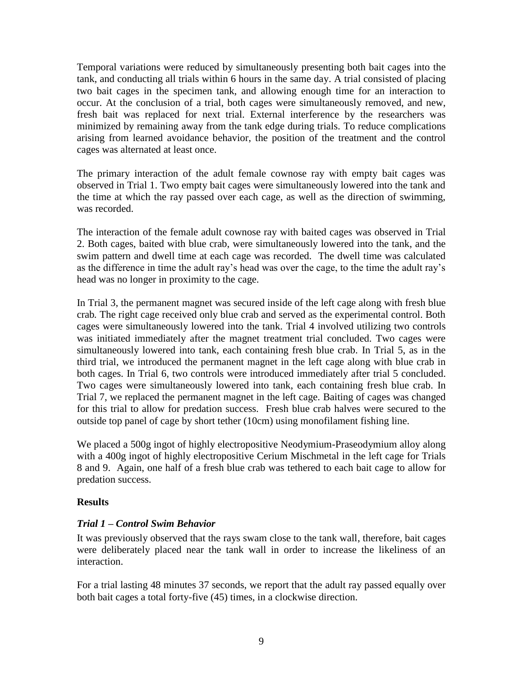Temporal variations were reduced by simultaneously presenting both bait cages into the tank, and conducting all trials within 6 hours in the same day. A trial consisted of placing two bait cages in the specimen tank, and allowing enough time for an interaction to occur. At the conclusion of a trial, both cages were simultaneously removed, and new, fresh bait was replaced for next trial. External interference by the researchers was minimized by remaining away from the tank edge during trials. To reduce complications arising from learned avoidance behavior, the position of the treatment and the control cages was alternated at least once.

The primary interaction of the adult female cownose ray with empty bait cages was observed in Trial 1. Two empty bait cages were simultaneously lowered into the tank and the time at which the ray passed over each cage, as well as the direction of swimming, was recorded.

The interaction of the female adult cownose ray with baited cages was observed in Trial 2. Both cages, baited with blue crab, were simultaneously lowered into the tank, and the swim pattern and dwell time at each cage was recorded. The dwell time was calculated as the difference in time the adult ray's head was over the cage, to the time the adult ray's head was no longer in proximity to the cage.

In Trial 3, the permanent magnet was secured inside of the left cage along with fresh blue crab*.* The right cage received only blue crab and served as the experimental control. Both cages were simultaneously lowered into the tank. Trial 4 involved utilizing two controls was initiated immediately after the magnet treatment trial concluded. Two cages were simultaneously lowered into tank, each containing fresh blue crab. In Trial 5, as in the third trial, we introduced the permanent magnet in the left cage along with blue crab in both cages. In Trial 6, two controls were introduced immediately after trial 5 concluded. Two cages were simultaneously lowered into tank, each containing fresh blue crab. In Trial 7, we replaced the permanent magnet in the left cage. Baiting of cages was changed for this trial to allow for predation success. Fresh blue crab halves were secured to the outside top panel of cage by short tether (10cm) using monofilament fishing line.

We placed a 500g ingot of highly electropositive Neodymium-Praseodymium alloy along with a 400g ingot of highly electropositive Cerium Mischmetal in the left cage for Trials 8 and 9. Again, one half of a fresh blue crab was tethered to each bait cage to allow for predation success.

# <span id="page-10-1"></span><span id="page-10-0"></span>**Results**

# *Trial 1 – Control Swim Behavior*

It was previously observed that the rays swam close to the tank wall, therefore, bait cages were deliberately placed near the tank wall in order to increase the likeliness of an interaction.

For a trial lasting 48 minutes 37 seconds, we report that the adult ray passed equally over both bait cages a total forty-five (45) times, in a clockwise direction.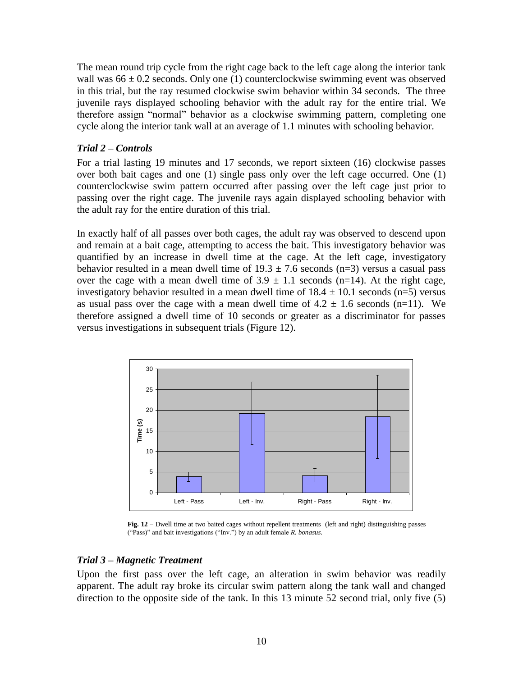The mean round trip cycle from the right cage back to the left cage along the interior tank wall was  $66 \pm 0.2$  seconds. Only one (1) counterclockwise swimming event was observed in this trial, but the ray resumed clockwise swim behavior within 34 seconds. The three juvenile rays displayed schooling behavior with the adult ray for the entire trial. We therefore assign "normal" behavior as a clockwise swimming pattern, completing one cycle along the interior tank wall at an average of 1.1 minutes with schooling behavior.

#### <span id="page-11-0"></span>*Trial 2 – Controls*

For a trial lasting 19 minutes and 17 seconds, we report sixteen (16) clockwise passes over both bait cages and one (1) single pass only over the left cage occurred. One (1) counterclockwise swim pattern occurred after passing over the left cage just prior to passing over the right cage. The juvenile rays again displayed schooling behavior with the adult ray for the entire duration of this trial.

In exactly half of all passes over both cages, the adult ray was observed to descend upon and remain at a bait cage, attempting to access the bait. This investigatory behavior was quantified by an increase in dwell time at the cage. At the left cage, investigatory behavior resulted in a mean dwell time of  $19.3 \pm 7.6$  seconds (n=3) versus a casual pass over the cage with a mean dwell time of  $3.9 \pm 1.1$  seconds (n=14). At the right cage, investigatory behavior resulted in a mean dwell time of  $18.4 \pm 10.1$  seconds (n=5) versus as usual pass over the cage with a mean dwell time of  $4.2 \pm 1.6$  seconds (n=11). We therefore assigned a dwell time of 10 seconds or greater as a discriminator for passes versus investigations in subsequent trials (Figure 12).



**Fig. 12** – Dwell time at two baited cages without repellent treatments (left and right) distinguishing passes ("Pass)" and bait investigations ("Inv.") by an adult female *R. bonasus.*

#### <span id="page-11-1"></span>*Trial 3 – Magnetic Treatment*

Upon the first pass over the left cage, an alteration in swim behavior was readily apparent. The adult ray broke its circular swim pattern along the tank wall and changed direction to the opposite side of the tank. In this 13 minute 52 second trial, only five (5)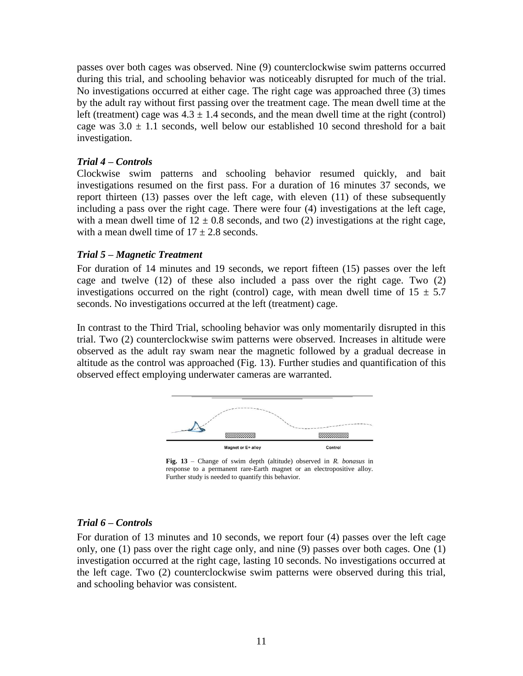passes over both cages was observed. Nine (9) counterclockwise swim patterns occurred during this trial, and schooling behavior was noticeably disrupted for much of the trial. No investigations occurred at either cage. The right cage was approached three (3) times by the adult ray without first passing over the treatment cage. The mean dwell time at the left (treatment) cage was  $4.3 \pm 1.4$  seconds, and the mean dwell time at the right (control) cage was  $3.0 \pm 1.1$  seconds, well below our established 10 second threshold for a bait investigation.

## <span id="page-12-0"></span>*Trial 4 – Controls*

Clockwise swim patterns and schooling behavior resumed quickly, and bait investigations resumed on the first pass. For a duration of 16 minutes 37 seconds, we report thirteen (13) passes over the left cage, with eleven (11) of these subsequently including a pass over the right cage. There were four (4) investigations at the left cage, with a mean dwell time of  $12 \pm 0.8$  seconds, and two (2) investigations at the right cage, with a mean dwell time of  $17 + 2.8$  seconds.

# <span id="page-12-1"></span>*Trial 5 – Magnetic Treatment*

For duration of 14 minutes and 19 seconds, we report fifteen (15) passes over the left cage and twelve (12) of these also included a pass over the right cage. Two (2) investigations occurred on the right (control) cage, with mean dwell time of  $15 \pm 5.7$ seconds. No investigations occurred at the left (treatment) cage.

In contrast to the Third Trial, schooling behavior was only momentarily disrupted in this trial. Two (2) counterclockwise swim patterns were observed. Increases in altitude were observed as the adult ray swam near the magnetic followed by a gradual decrease in altitude as the control was approached (Fig. 13). Further studies and quantification of this observed effect employing underwater cameras are warranted.



**Fig. 13** – Change of swim depth (altitude) observed in *R. bonasus* in response to a permanent rare-Earth magnet or an electropositive alloy. Further study is needed to quantify this behavior.

# <span id="page-12-2"></span>*Trial 6 – Controls*

For duration of 13 minutes and 10 seconds, we report four (4) passes over the left cage only, one (1) pass over the right cage only, and nine (9) passes over both cages. One (1) investigation occurred at the right cage, lasting 10 seconds. No investigations occurred at the left cage. Two (2) counterclockwise swim patterns were observed during this trial, and schooling behavior was consistent.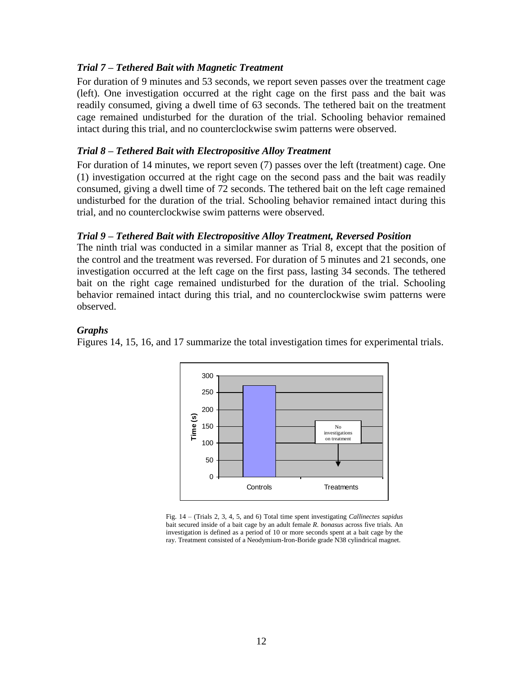## <span id="page-13-0"></span>*Trial 7 – Tethered Bait with Magnetic Treatment*

For duration of 9 minutes and 53 seconds, we report seven passes over the treatment cage (left). One investigation occurred at the right cage on the first pass and the bait was readily consumed, giving a dwell time of 63 seconds. The tethered bait on the treatment cage remained undisturbed for the duration of the trial. Schooling behavior remained intact during this trial, and no counterclockwise swim patterns were observed.

#### <span id="page-13-1"></span>*Trial 8 – Tethered Bait with Electropositive Alloy Treatment*

For duration of 14 minutes, we report seven (7) passes over the left (treatment) cage. One (1) investigation occurred at the right cage on the second pass and the bait was readily consumed, giving a dwell time of 72 seconds. The tethered bait on the left cage remained undisturbed for the duration of the trial. Schooling behavior remained intact during this trial, and no counterclockwise swim patterns were observed.

#### *Trial 9 – Tethered Bait with Electropositive Alloy Treatment, Reversed Position*

The ninth trial was conducted in a similar manner as Trial 8, except that the position of the control and the treatment was reversed. For duration of 5 minutes and 21 seconds, one investigation occurred at the left cage on the first pass, lasting 34 seconds. The tethered bait on the right cage remained undisturbed for the duration of the trial. Schooling behavior remained intact during this trial, and no counterclockwise swim patterns were observed.

#### <span id="page-13-3"></span>*Graphs*

Figures 14, 15, 16, and 17 summarize the total investigation times for experimental trials.

<span id="page-13-2"></span>

Fig. 14 – (Trials 2, 3, 4, 5, and 6) Total time spent investigating *Callinectes sapidus*  bait secured inside of a bait cage by an adult female *R. bonasus* across five trials. An investigation is defined as a period of 10 or more seconds spent at a bait cage by the ray. Treatment consisted of a Neodymium-Iron-Boride grade N38 cylindrical magnet.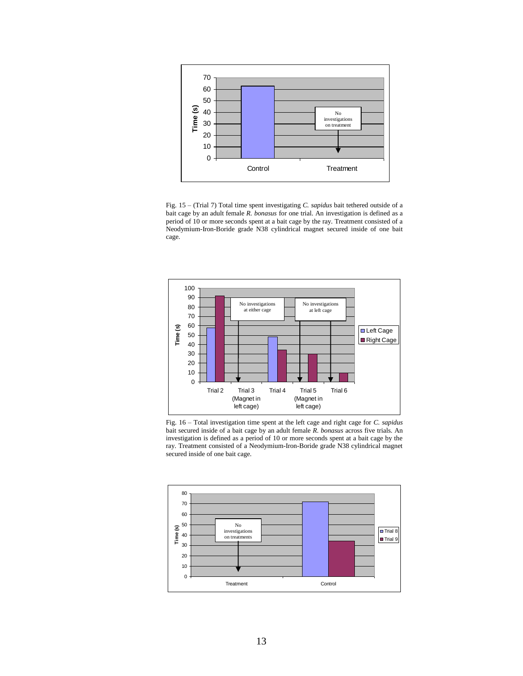

Fig. 15 – (Trial 7) Total time spent investigating *C. sapidus* bait tethered outside of a bait cage by an adult female *R. bonasus* for one trial. An investigation is defined as a period of 10 or more seconds spent at a bait cage by the ray. Treatment consisted of a Neodymium-Iron-Boride grade N38 cylindrical magnet secured inside of one bait cage.



Fig. 16 – Total investigation time spent at the left cage and right cage for *C. sapidus* bait secured inside of a bait cage by an adult female *R. bonasus* across five trials. An investigation is defined as a period of 10 or more seconds spent at a bait cage by the ray. Treatment consisted of a Neodymium-Iron-Boride grade N38 cylindrical magnet secured inside of one bait cage.

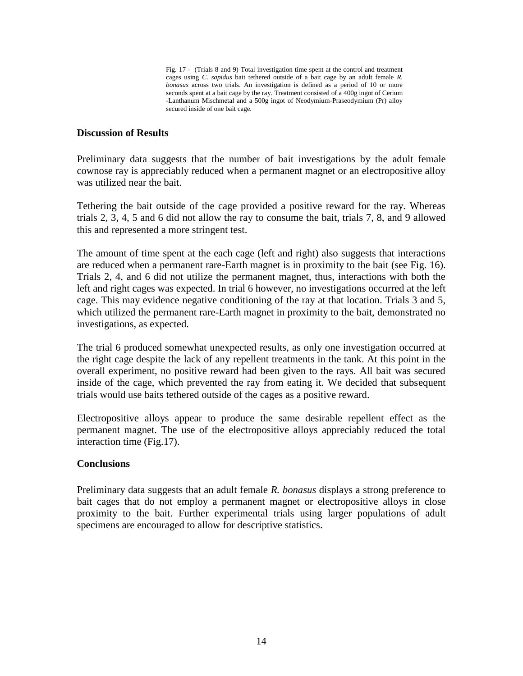Fig. 17 - (Trials 8 and 9) Total investigation time spent at the control and treatment cages using *C. sapidus* bait tethered outside of a bait cage by an adult female *R. bonasus* across two trials. An investigation is defined as a period of 10 or more seconds spent at a bait cage by the ray. Treatment consisted of a 400g ingot of Cerium -Lanthanum Mischmetal and a 500g ingot of Neodymium-Praseodymium (Pr) alloy secured inside of one bait cage.

#### <span id="page-15-0"></span>**Discussion of Results**

Preliminary data suggests that the number of bait investigations by the adult female cownose ray is appreciably reduced when a permanent magnet or an electropositive alloy was utilized near the bait.

Tethering the bait outside of the cage provided a positive reward for the ray. Whereas trials 2, 3, 4, 5 and 6 did not allow the ray to consume the bait, trials 7, 8, and 9 allowed this and represented a more stringent test.

The amount of time spent at the each cage (left and right) also suggests that interactions are reduced when a permanent rare-Earth magnet is in proximity to the bait (see Fig. 16). Trials 2, 4, and 6 did not utilize the permanent magnet, thus, interactions with both the left and right cages was expected. In trial 6 however, no investigations occurred at the left cage. This may evidence negative conditioning of the ray at that location. Trials 3 and 5, which utilized the permanent rare-Earth magnet in proximity to the bait, demonstrated no investigations, as expected.

The trial 6 produced somewhat unexpected results, as only one investigation occurred at the right cage despite the lack of any repellent treatments in the tank. At this point in the overall experiment, no positive reward had been given to the rays. All bait was secured inside of the cage, which prevented the ray from eating it. We decided that subsequent trials would use baits tethered outside of the cages as a positive reward.

Electropositive alloys appear to produce the same desirable repellent effect as the permanent magnet. The use of the electropositive alloys appreciably reduced the total interaction time (Fig.17).

#### <span id="page-15-1"></span>**Conclusions**

<span id="page-15-2"></span>Preliminary data suggests that an adult female *R. bonasus* displays a strong preference to bait cages that do not employ a permanent magnet or electropositive alloys in close proximity to the bait. Further experimental trials using larger populations of adult specimens are encouraged to allow for descriptive statistics.